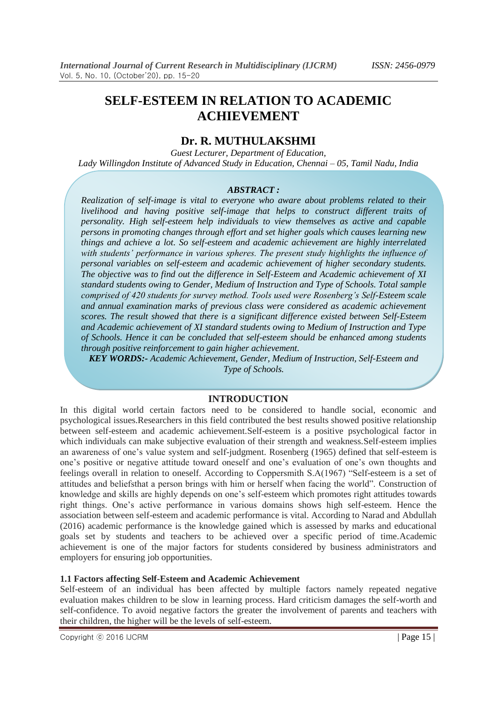# **SELF-ESTEEM IN RELATION TO ACADEMIC ACHIEVEMENT**

# **Dr. R. MUTHULAKSHMI**

*Guest Lecturer, Department of Education, Lady Willingdon Institute of Advanced Study in Education, Chennai – 05, Tamil Nadu, India*

## *ABSTRACT :*

*Realization of self-image is vital to everyone who aware about problems related to their livelihood and having positive self-image that helps to construct different traits of personality. High self-esteem help individuals to view themselves as active and capable persons in promoting changes through effort and set higher goals which causes learning new things and achieve a lot. So self-esteem and academic achievement are highly interrelated with students' performance in various spheres. The present study highlights the influence of personal variables on self-esteem and academic achievement of higher secondary students. The objective was to find out the difference in Self-Esteem and Academic achievement of XI standard students owing to Gender, Medium of Instruction and Type of Schools. Total sample comprised of 420 students for survey method. Tools used were Rosenberg's Self-Esteem scale and annual examination marks of previous class were considered as academic achievement scores. The result showed that there is a significant difference existed between Self-Esteem and Academic achievement of XI standard students owing to Medium of Instruction and Type of Schools. Hence it can be concluded that self-esteem should be enhanced among students through positive reinforcement to gain higher achievement.* 

*KEY WORDS:- Academic Achievement, Gender, Medium of Instruction, Self-Esteem and Type of Schools.*

## **INTRODUCTION**

In this digital world certain factors need to be considered to handle social, economic and psychological issues.Researchers in this field contributed the best results showed positive relationship between self-esteem and academic achievement.Self-esteem is a positive psychological factor in which individuals can make subjective evaluation of their strength and weakness.Self-esteem implies an awareness of one"s value system and self-judgment. Rosenberg (1965) defined that self-esteem is one"s positive or negative attitude toward oneself and one"s evaluation of one"s own thoughts and feelings overall in relation to oneself. According to Coppersmith S.A(1967) "Self-esteem is a set of attitudes and beliefsthat a person brings with him or herself when facing the world". Construction of knowledge and skills are highly depends on one's self-esteem which promotes right attitudes towards right things. One"s active performance in various domains shows high self-esteem. Hence the association between self-esteem and academic performance is vital. According to Narad and Abdullah (2016) academic performance is the knowledge gained which is assessed by marks and educational goals set by students and teachers to be achieved over a specific period of time.Academic achievement is one of the major factors for students considered by business administrators and employers for ensuring job opportunities.

## **1.1 Factors affecting Self-Esteem and Academic Achievement**

Self-esteem of an individual has been affected by multiple factors namely repeated negative evaluation makes children to be slow in learning process. Hard criticism damages the self-worth and self-confidence. To avoid negative factors the greater the involvement of parents and teachers with their children, the higher will be the levels of self-esteem.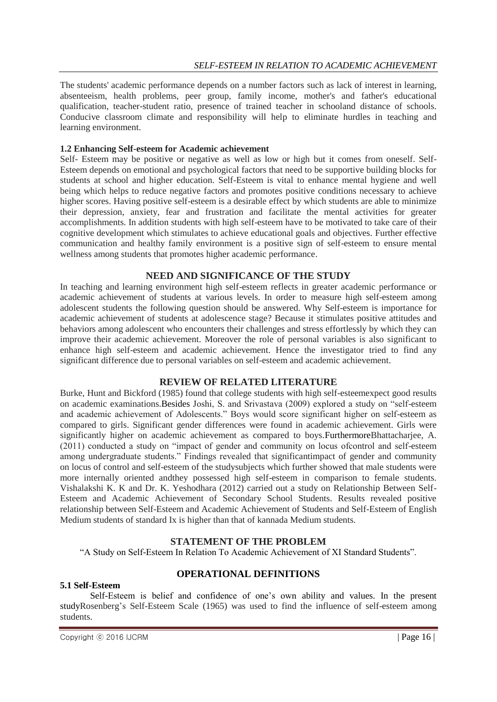The students' academic performance depends on a number factors such as lack of interest in learning, absenteeism, health problems, peer group, family income, mother's and father's educational qualification, teacher-student ratio, presence of trained teacher in schooland distance of schools. Conducive classroom climate and responsibility will help to eliminate hurdles in teaching and learning environment.

## **1.2 Enhancing Self-esteem for Academic achievement**

Self- Esteem may be positive or negative as well as low or high but it comes from oneself. Self-Esteem depends on emotional and psychological factors that need to be supportive building blocks for students at school and higher education. Self-Esteem is vital to enhance mental hygiene and well being which helps to reduce negative factors and promotes positive conditions necessary to achieve higher scores. Having positive self-esteem is a desirable effect by which students are able to minimize their depression, anxiety, fear and frustration and facilitate the mental activities for greater accomplishments. In addition students with high self-esteem have to be motivated to take care of their cognitive development which stimulates to achieve educational goals and objectives. Further effective communication and healthy family environment is a positive sign of self-esteem to ensure mental wellness among students that promotes higher academic performance.

# **NEED AND SIGNIFICANCE OF THE STUDY**

In teaching and learning environment high self-esteem reflects in greater academic performance or academic achievement of students at various levels. In order to measure high self-esteem among adolescent students the following question should be answered. Why Self-esteem is importance for academic achievement of students at adolescence stage? Because it stimulates positive attitudes and behaviors among adolescent who encounters their challenges and stress effortlessly by which they can improve their academic achievement. Moreover the role of personal variables is also significant to enhance high self-esteem and academic achievement. Hence the investigator tried to find any significant difference due to personal variables on self-esteem and academic achievement.

# **REVIEW OF RELATED LITERATURE**

Burke, Hunt and Bickford (1985) found that college students with high self-esteemexpect good results on academic examinations.Besides Joshi, S. and Srivastava (2009) explored a study on "self-esteem and academic achievement of Adolescents." Boys would score significant higher on self-esteem as compared to girls. Significant gender differences were found in academic achievement. Girls were significantly higher on academic achievement as compared to boys.FurthermoreBhattacharjee, A. (2011) conducted a study on "impact of gender and community on locus ofcontrol and self-esteem among undergraduate students." Findings revealed that significantimpact of gender and community on locus of control and self-esteem of the studysubjects which further showed that male students were more internally oriented andthey possessed high self-esteem in comparison to female students. Vishalakshi K. K and Dr. K. Yeshodhara (2012) carried out a study on Relationship Between Self-Esteem and Academic Achievement of Secondary School Students. Results revealed positive relationship between Self-Esteem and Academic Achievement of Students and Self-Esteem of English Medium students of standard Ix is higher than that of kannada Medium students.

# **STATEMENT OF THE PROBLEM**

"A Study on Self-Esteem In Relation To Academic Achievement of XI Standard Students".

#### **OPERATIONAL DEFINITIONS 5.1 Self-Esteem**

Self-Esteem is belief and confidence of one"s own ability and values. In the present studyRosenberg"s Self-Esteem Scale (1965) was used to find the influence of self-esteem among students.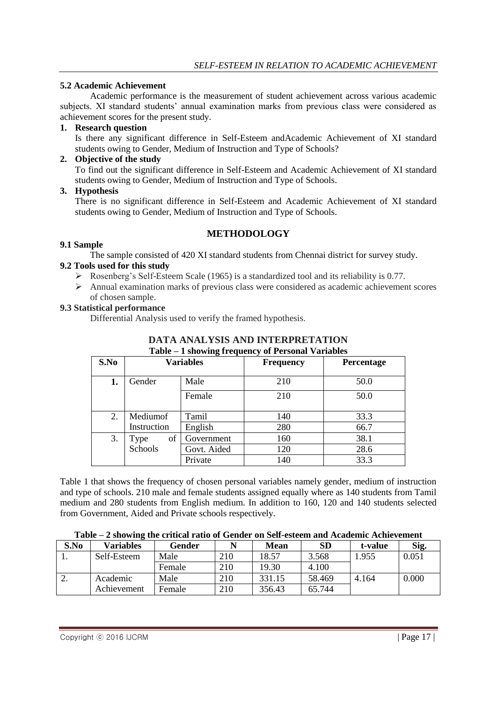## **5.2 Academic Achievement**

Academic performance is the measurement of student achievement across various academic subjects. XI standard students" annual examination marks from previous class were considered as achievement scores for the present study.

## **1. Research question**

Is there any significant difference in Self-Esteem andAcademic Achievement of XI standard students owing to Gender, Medium of Instruction and Type of Schools?

## **2. Objective of the study**

To find out the significant difference in Self-Esteem and Academic Achievement of XI standard students owing to Gender, Medium of Instruction and Type of Schools.

#### **3. Hypothesis**

There is no significant difference in Self-Esteem and Academic Achievement of XI standard students owing to Gender, Medium of Instruction and Type of Schools.

## **METHODOLOGY**

#### **9.1 Sample**

The sample consisted of 420 XI standard students from Chennai district for survey study.

## **9.2 Tools used for this study**

- $\triangleright$  Rosenberg's Self-Esteem Scale (1965) is a standardized tool and its reliability is 0.77.
- Annual examination marks of previous class were considered as academic achievement scores of chosen sample.

#### **9.3 Statistical performance**

Differential Analysis used to verify the framed hypothesis.

|      | <b>Table – I showing frequency of Personal Variables</b> |             |                  |            |  |  |  |  |
|------|----------------------------------------------------------|-------------|------------------|------------|--|--|--|--|
| S.No | Variables                                                |             | <b>Frequency</b> | Percentage |  |  |  |  |
| 1.   | Gender                                                   | Male        | 210              | 50.0       |  |  |  |  |
|      |                                                          | Female      | 210              | 50.0       |  |  |  |  |
| 2.   | Mediumof                                                 | Tamil       | 140              | 33.3       |  |  |  |  |
|      | Instruction                                              | English     | 280              | 66.7       |  |  |  |  |
| 3.   | of<br>Type                                               | Government  | 160              | 38.1       |  |  |  |  |
|      | Schools                                                  | Govt. Aided | 120              | 28.6       |  |  |  |  |
|      |                                                          | Private     | 140              | 33.3       |  |  |  |  |

#### **DATA ANALYSIS AND INTERPRETATION Table – 1 showing frequency of Personal Variables**

Table 1 that shows the frequency of chosen personal variables namely gender, medium of instruction and type of schools. 210 male and female students assigned equally where as 140 students from Tamil medium and 280 students from English medium. In addition to 160, 120 and 140 students selected from Government, Aided and Private schools respectively.

#### **Table – 2 showing the critical ratio of Gender on Self-esteem and Academic Achievement**

| S.No     | Variables   | Gender |     | <b>Mean</b> | SD     | t-value | Sig.  |
|----------|-------------|--------|-----|-------------|--------|---------|-------|
|          | Self-Esteem | Male   | 210 | 18.57       | 3.568  | .955    | 0.051 |
|          |             | Female | 210 | 19.30       | 4.100  |         |       |
| <u>.</u> | Academic    | Male   | 210 | 331.15      | 58.469 | 4.164   | 0.000 |
|          | Achievement | Female | 210 | 356.43      | 65.744 |         |       |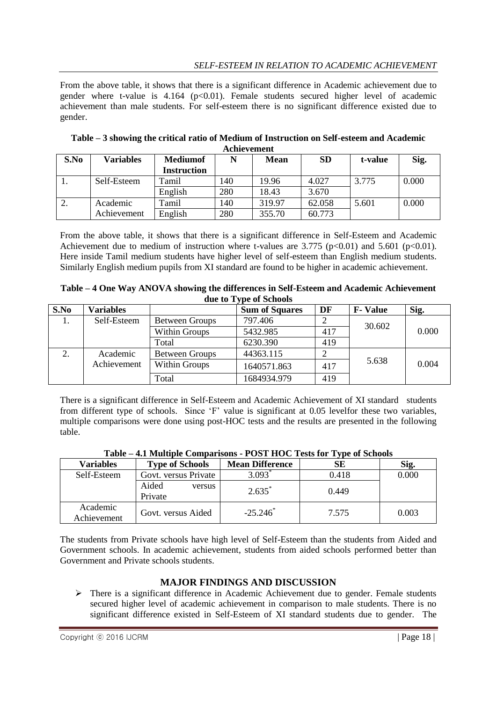# *SELF-ESTEEM IN RELATION TO ACADEMIC ACHIEVEMENT*

From the above table, it shows that there is a significant difference in Academic achievement due to gender where t-value is  $4.164$  (p<0.01). Female students secured higher level of academic achievement than male students. For self-esteem there is no significant difference existed due to gender.

| S.No | <b>Variables</b> | <b>Mediumof</b>    | N   | <b>Mean</b> | <b>SD</b> | t-value | Sig.  |
|------|------------------|--------------------|-----|-------------|-----------|---------|-------|
|      |                  | <b>Instruction</b> |     |             |           |         |       |
| .,   | Self-Esteem      | Tamil              | 140 | 19.96       | 4.027     | 3.775   | 0.000 |
|      |                  | English            | 280 | 18.43       | 3.670     |         |       |
| ۷.   | Academic         | Tamil              | 140 | 319.97      | 62.058    | 5.601   | 0.000 |
|      | Achievement      | English            | 280 | 355.70      | 60.773    |         |       |

**Table – 3 showing the critical ratio of Medium of Instruction on Self-esteem and Academic Achievement**

From the above table, it shows that there is a significant difference in Self-Esteem and Academic Achievement due to medium of instruction where t-values are 3.775 (p<0.01) and 5.601 (p<0.01). Here inside Tamil medium students have higher level of self-esteem than English medium students. Similarly English medium pupils from XI standard are found to be higher in academic achievement.

| Table – 4 One Way ANOVA showing the differences in Self-Esteem and Academic Achievement |
|-----------------------------------------------------------------------------------------|
| due to Type of Schools                                                                  |

| S.No | <b>Variables</b> |                       | <b>Sum of Squares</b> | DF  | <b>F</b> -Value | Sig.  |
|------|------------------|-----------------------|-----------------------|-----|-----------------|-------|
| 1.   | Self-Esteem      | <b>Between Groups</b> | 797.406               |     | 30.602          |       |
|      |                  | Within Groups         | 5432.985              | 417 |                 | 0.000 |
|      |                  | Total                 | 6230.390              | 419 |                 |       |
|      | Academic         | <b>Between Groups</b> | 44363.115             |     |                 |       |
|      | Achievement      | Within Groups         | 1640571.863           | 417 | 5.638           | 0.004 |
|      |                  | Total                 | 1684934.979           | 419 |                 |       |

There is a significant difference in Self-Esteem and Academic Achievement of XI standard students from different type of schools. Since 'F' value is significant at 0.05 levelfor these two variables, multiple comparisons were done using post-HOC tests and the results are presented in the following table.

|                         |                            |                        | . .   |       |
|-------------------------|----------------------------|------------------------|-------|-------|
| <b>Variables</b>        | <b>Type of Schools</b>     | <b>Mean Difference</b> | SE    | Sig.  |
| Self-Esteem             | Govt. versus Private       | 3.093                  | 0.418 | 0.000 |
|                         | Aided<br>versus<br>Private | $2.635^*$              | 0.449 |       |
| Academic<br>Achievement | Govt. versus Aided         | $-25.246^*$            | 7.575 | 0.003 |

The students from Private schools have high level of Self-Esteem than the students from Aided and Government schools. In academic achievement, students from aided schools performed better than Government and Private schools students.

# **MAJOR FINDINGS AND DISCUSSION**

 There is a significant difference in Academic Achievement due to gender. Female students secured higher level of academic achievement in comparison to male students. There is no significant difference existed in Self-Esteem of XI standard students due to gender. The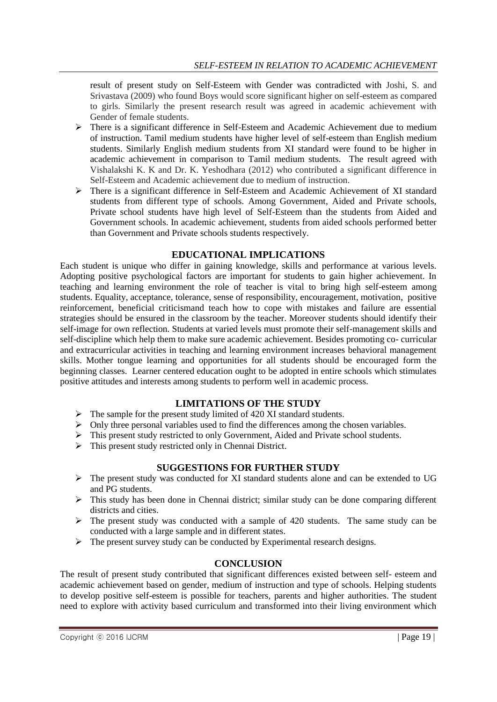result of present study on Self-Esteem with Gender was contradicted with Joshi, S. and Srivastava (2009) who found Boys would score significant higher on self-esteem as compared to girls. Similarly the present research result was agreed in academic achievement with Gender of female students.

- There is a significant difference in Self-Esteem and Academic Achievement due to medium of instruction. Tamil medium students have higher level of self-esteem than English medium students. Similarly English medium students from XI standard were found to be higher in academic achievement in comparison to Tamil medium students. The result agreed with Vishalakshi K. K and Dr. K. Yeshodhara (2012) who contributed a significant difference in Self-Esteem and Academic achievement due to medium of instruction.
- There is a significant difference in Self-Esteem and Academic Achievement of XI standard students from different type of schools. Among Government, Aided and Private schools, Private school students have high level of Self-Esteem than the students from Aided and Government schools. In academic achievement, students from aided schools performed better than Government and Private schools students respectively.

# **EDUCATIONAL IMPLICATIONS**

Each student is unique who differ in gaining knowledge, skills and performance at various levels. Adopting positive psychological factors are important for students to gain higher achievement. In teaching and learning environment the role of teacher is vital to bring high self-esteem among students. Equality, acceptance, tolerance, sense of responsibility, encouragement, motivation, positive reinforcement, beneficial criticismand teach how to cope with mistakes and failure are essential strategies should be ensured in the classroom by the teacher. Moreover students should identify their self-image for own reflection. Students at varied levels must promote their self-management skills and self-discipline which help them to make sure academic achievement. Besides promoting co- curricular and extracurricular activities in teaching and learning environment increases behavioral management skills. Mother tongue learning and opportunities for all students should be encouraged form the beginning classes. Learner centered education ought to be adopted in entire schools which stimulates positive attitudes and interests among students to perform well in academic process.

# **LIMITATIONS OF THE STUDY**

- $\triangleright$  The sample for the present study limited of 420 XI standard students.
- $\triangleright$  Only three personal variables used to find the differences among the chosen variables.
- $\triangleright$  This present study restricted to only Government, Aided and Private school students.
- This present study restricted only in Chennai District.

# **SUGGESTIONS FOR FURTHER STUDY**

- $\triangleright$  The present study was conducted for XI standard students alone and can be extended to UG and PG students.
- This study has been done in Chennai district; similar study can be done comparing different districts and cities.
- $\triangleright$  The present study was conducted with a sample of 420 students. The same study can be conducted with a large sample and in different states.
- $\triangleright$  The present survey study can be conducted by Experimental research designs.

# **CONCLUSION**

The result of present study contributed that significant differences existed between self- esteem and academic achievement based on gender, medium of instruction and type of schools. Helping students to develop positive self-esteem is possible for teachers, parents and higher authorities. The student need to explore with activity based curriculum and transformed into their living environment which